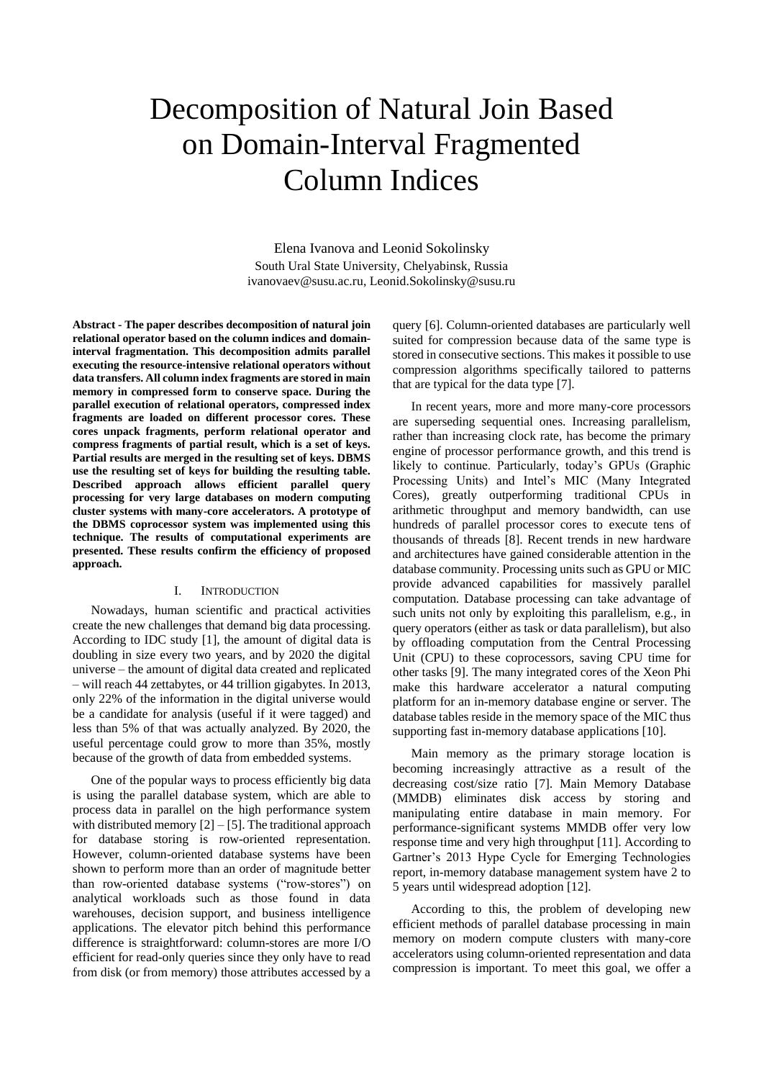# Decomposition of Natural Join Based on Domain-Interval Fragmented Column Indices

Elena Ivanova and Leonid Sokolinsky South Ural State University, Chelyabinsk, Russia ivanovaev@susu.ac.ru, Leonid.Sokolinsky@susu.ru

**Abstract - The paper describes decomposition of natural join relational operator based on the column indices and domaininterval fragmentation. This decomposition admits parallel executing the resource-intensive relational operators without data transfers. All column index fragments are stored in main memory in compressed form to conserve space. During the parallel execution of relational operators, compressed index fragments are loaded on different processor cores. These cores unpack fragments, perform relational operator and compress fragments of partial result, which is a set of keys. Partial results are merged in the resulting set of keys. DBMS use the resulting set of keys for building the resulting table. Described approach allows efficient parallel query processing for very large databases on modern computing cluster systems with many-core accelerators. A prototype of the DBMS coprocessor system was implemented using this technique. The results of computational experiments are presented. These results confirm the efficiency of proposed approach.**

### I. INTRODUCTION

Nowadays, human scientific and practical activities create the new challenges that demand big data processing. According to IDC study [\[1\],](#page-3-0) the amount of digital data is doubling in size every two years, and by 2020 the digital universe – the amount of digital data created and replicated – will reach 44 zettabytes, or 44 trillion gigabytes. In 2013, only 22% of the information in the digital universe would be a candidate for analysis (useful if it were tagged) and less than 5% of that was actually analyzed. By 2020, the useful percentage could grow to more than 35%, mostly because of the growth of data from embedded systems.

One of the popular ways to process efficiently big data is using the parallel database system, which are able to process data in parallel on the high performance system with distributed memory  $[2] - [5]$  $[2] - [5]$ . The traditional approach for database storing is row-oriented representation. However, column-oriented database systems have been shown to perform more than an order of magnitude better than row-oriented database systems ("row-stores") on analytical workloads such as those found in data warehouses, decision support, and business intelligence applications. The elevator pitch behind this performance difference is straightforward: column-stores are more I/O efficient for read-only queries since they only have to read from disk (or from memory) those attributes accessed by a

query [\[6\].](#page-3-3) Column-oriented databases are particularly well suited for compression because data of the same type is stored in consecutive sections. This makes it possible to use compression algorithms specifically tailored to patterns that are typical for the data type [\[7\].](#page-3-4)

In recent years, more and more many-core processors are superseding sequential ones. Increasing parallelism, rather than increasing clock rate, has become the primary engine of processor performance growth, and this trend is likely to continue. Particularly, today's GPUs (Graphic Processing Units) and Intel's MIC (Many Integrated Cores), greatly outperforming traditional CPUs in arithmetic throughput and memory bandwidth, can use hundreds of parallel processor cores to execute tens of thousands of threads [\[8\].](#page-3-5) Recent trends in new hardware and architectures have gained considerable attention in the database community. Processing units such as GPU or MIC provide advanced capabilities for massively parallel computation. Database processing can take advantage of such units not only by exploiting this parallelism, e.g., in query operators (either as task or data parallelism), but also by offloading computation from the Central Processing Unit (CPU) to these coprocessors, saving CPU time for other tasks [\[9\].](#page-3-6) The many integrated cores of the Xeon Phi make this hardware accelerator a natural computing platform for an in-memory database engine or server. The database tables reside in the memory space of the MIC thus supporting fast in-memory database applications [\[10\].](#page-3-7)

Main memory as the primary storage location is becoming increasingly attractive as a result of the decreasing cost/size ratio [\[7\].](#page-3-4) Main Memory Database (MMDB) eliminates disk access by storing and manipulating entire database in main memory. For performance-significant systems MMDB offer very low response time and very high throughpu[t \[11\].](#page-3-8) According to Gartner's 2013 Hype Cycle for Emerging Technologies report, in-memory database management system have 2 to 5 years until widespread adoption [\[12\].](#page-3-9)

According to this, the problem of developing new efficient methods of parallel database processing in main memory on modern compute clusters with many-core accelerators using column-oriented representation and data compression is important. To meet this goal, we offer a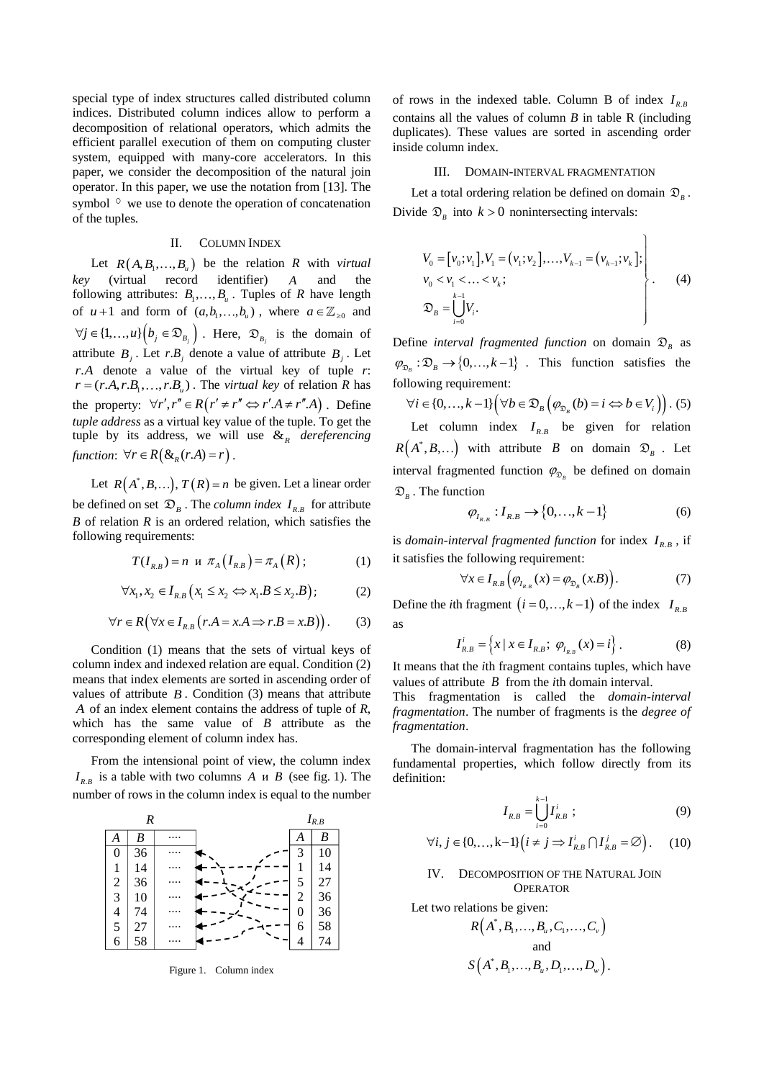special type of index structures called distributed column indices. Distributed column indices allow to perform a decomposition of relational operators, which admits the efficient parallel execution of them on computing cluster system, equipped with many-core accelerators. In this paper, we consider the decomposition of the natural join operator. In this paper, we use the notation from [\[13\].](#page-3-10) The symbol  $\circ$  we use to denote the operation of concatenation of the tuples.

## II. COLUMN INDEX

Let  $R(A, B_1, ..., B_n)$  be the relation R with *virtual key* (virtual record identifier) *A* and the following attributes:  $B_1, \ldots, B_u$ . Tuples of *R* have length of  $u+1$  and form of  $(a,b_1,...,b_u)$ , where  $a \in \mathbb{Z}_{\geq 0}$  and  $\forall j \in \{1, ..., u\} \Big( b_j \in \mathfrak{D}_{B_j} \Big)$ . Here,  $\mathfrak{D}_{B_j}$  is the domain of attribute  $B_j$ . Let  $r.B_j$  denote a value of attribute  $B_j$ . Let *rA*. denote a value of the virtual key of tuple *r*:  $r = (r.A, r.B_1, \ldots, r.B_u)$ . The *virtual key* of relation *R* has the property:  $\forall r', r'' \in R(r' \neq r'' \Leftrightarrow r'.A \neq r''.A)$ . Define *tuple address* as a virtual key value of the tuple. To get the tuple by its address, we will use  $\mathcal{X}_R$  *dereferencing* function:  $\forall r \in R(\&\kappa_R(r.A) = r)$ .

Let  $R(A^*, B, \ldots), T(R) = n$  be given. Let a linear order be defined on set  $\mathcal{D}_B$ . The *column index*  $I_{R,B}$  for attribute *B* of relation *R* is an ordered relation, which satisfies the following requirements:

$$
T(I_{R,B}) = n \, u \, \pi_A(I_{R,B}) = \pi_A(R) \, ; \tag{1}
$$

$$
\forall x_1, x_2 \in I_{R,B} (x_1 \le x_2 \Leftrightarrow x_1.B \le x_2.B); \tag{2}
$$

$$
\forall r \in R \Big( \forall x \in I_{R,B} \Big( r.A = x.A \Longrightarrow r.B = x.B \Big) \Big). \tag{3}
$$

Condition (1) means that the sets of virtual keys of column index and indexed relation are equal. Condition (2) means that index elements are sorted in ascending order of values of attribute  $B$ . Condition  $(3)$  means that attribute *A* of an index element contains the address of tuple of *R*, which has the same value of *B* attribute as the corresponding element of column index has.

From the intensional point of view, the column index  $I_{R,B}$  is a table with two columns *A u B* (see fig. 1). The number of rows in the column index is equal to the number



Figure 1. Column index

of rows in the indexed table. Column B of index  $I_{R,B}$ contains all the values of column *B* in table R (including duplicates). These values are sorted in ascending order inside column index.

#### III. DOMAIN-INTERVAL FRAGMENTATION

Let a total ordering relation be defined on domain  $\mathcal{D}_B$ . Divide  $\mathcal{D}_B$  into  $k > 0$  nonintersecting intervals:

$$
V_0 = [v_0; v_1], V_1 = (v_1; v_2], \dots, V_{k-1} = (v_{k-1}; v_k];
$$
  
\n
$$
v_0 < v_1 < \dots < v_k;
$$
  
\n
$$
\mathfrak{D}_B = \bigcup_{i=0}^{k-1} V_i.
$$
 (4)

 $\lambda$ 

Define *interval fragmented function* on domain  $\mathfrak{D}_B$  as  $\varphi_{\mathcal{D}_B}: \mathcal{D}_B \to \{0, \ldots, k-1\}$ . This function satisfies the

following requirement:  
\n
$$
\forall i \in \{0, ..., k-1\} \Big( \forall b \in \mathfrak{D}_B \Big( \varphi_{\mathfrak{D}_B} (b) = i \Leftrightarrow b \in V_i \Big) \Big). \tag{5}
$$

Let column index  $I_{R,B}$  be given for relation  $R(A^*, B, \ldots)$  with attribute *B* on domain  $\mathfrak{D}_B$ . Let interval fragmented function  $\varphi_{\mathfrak{D}_B}$  be defined on domain  $\mathfrak{D}_B$ . The function

$$
\varphi_{I_{R,B}} : I_{R,B} \to \{0, ..., k-1\}
$$
 (6)

is *domain-interval fragmented function* for index  $I_{R,B}$ , if it satisfies the following requirement:

$$
\forall x \in I_{R,B}\left(\varphi_{I_{R,B}}(x) = \varphi_{\mathfrak{D}_B}(x)\right). \tag{7}
$$

Define the *i*th fragment  $(i = 0, ..., k-1)$  of the index  $I_{R,B}$ as

$$
I_{R,B}^i = \left\{ x \mid x \in I_{R,B}; \ \varphi_{I_{R,B}}(x) = i \right\}.
$$
 (8)

It means that the *i*th fragment contains tuples, which have values of attribute  $\hat{B}$  from the *i*th domain interval.

This fragmentation is called the *domain-interval fragmentation*. The number of fragments is the *degree of fragmentation*.

The domain-interval fragmentation has the following fundamental properties, which follow directly from its definition:

$$
I_{R,B} = \bigcup_{i=0}^{k-1} I_{R,B}^i ; \qquad (9)
$$

$$
\forall i, j \in \{0, \dots, k-1\} \Big(i \neq j \Rightarrow I_{RB}^i \cap I_{RB}^j = \varnothing\Big). \tag{10}
$$

## IV. DECOMPOSITION OF THE NATURAL JOIN **OPERATOR**

Let two relations be given:

$$
R(A^*, B_1, \ldots, B_u, C_1, \ldots, C_v)
$$
  
and  

$$
S(A^*, B_1, \ldots, B_u, D_1, \ldots, D_w).
$$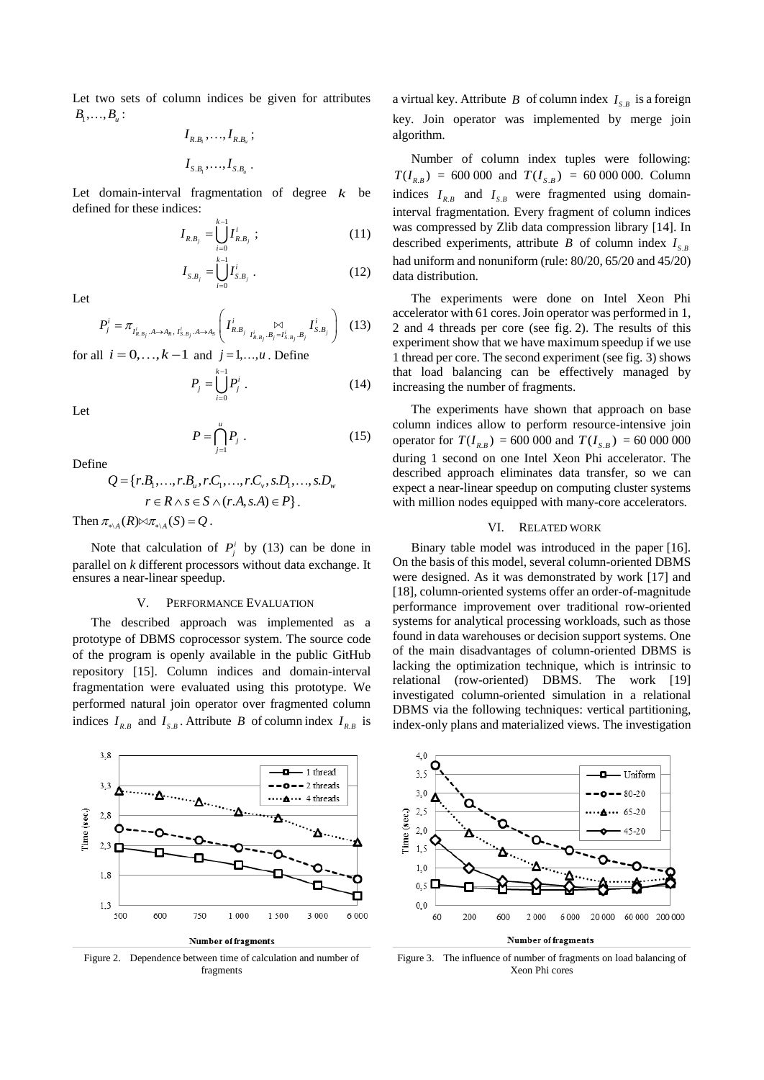Let two sets of column indices be given for attributes  $B_1, \ldots, B_u$ :

$$
I_{R.B_1},\ldots,I_{R.B_u};
$$
  

$$
I_{S.B_1},\ldots,I_{S.B_u}.
$$

Let domain-interval fragmentation of degree  $k$  be defined for these indices:

$$
I_{R,B_j} = \bigcup_{i=0}^{k-1} I_{R,B_j}^i ; \qquad (11)
$$

$$
I_{S.B_j} = \bigcup_{i=0}^{k-1} I_{S.B_j}^i \ . \tag{12}
$$

Let

$$
P_j^i = \pi_{I_{R,B_j}^i, A \to A_R, I_{S,B_j}^i, A \to A_S} \left( I_{R,B_j}^i \underset{I_{R,B_j}^i, B_j = I_{S,B_j}^i, B_j}{\bowtie} I_{S,B_j}^i \right) (13)
$$

for all 
$$
i = 0, ..., k-1
$$
 and  $j = 1, ..., u$ . Define

$$
P_j = \bigcup_{i=0}^{n} P_j^i \tag{14}
$$

Let

$$
P = \bigcap_{j=1}^{u} P_j \tag{15}
$$

Define

ne  
\n
$$
Q = \{r.B_1, ..., r.B_u, r.C_1, ..., r.C_v, s.D_1, ..., s.D_w \}
$$
\n
$$
r ∈ R ∧ s ∈ S ∧ (r.A, s.A) ∈ P\}.
$$

Then  $\pi_{\ast\backslash A}(R) \bowtie \pi_{\ast\backslash A}(S) = Q$ .

Note that calculation of  $P_j^i$  by (13) can be done in parallel on *k* different processors without data exchange. It ensures a near-linear speedup.

### V. PERFORMANCE EVALUATION

The described approach was implemented as a prototype of DBMS coprocessor system. The source code of the program is openly available in the public GitHub repository [\[15\].](#page-3-11) Column indices and domain-interval fragmentation were evaluated using this prototype. We performed natural join operator over fragmented column indices  $I_{R,B}$  and  $I_{S,B}$ . Attribute *B* of column index  $I_{R,B}$  is





Figure 2. Dependence between time of calculation and number of fragments

a virtual key. Attribute  $B$  of column index  $I_{s,B}$  is a foreign key. Join operator was implemented by merge join algorithm.

Number of column index tuples were following:  $T(I_{R,B}) = 600\,000$  and  $T(I_{S,B}) = 60\,000\,000$ . Column indices  $I_{R,B}$  and  $I_{S,B}$  were fragmented using domaininterval fragmentation. Every fragment of column indices was compressed by Zlib data compression library [\[14\].](#page-3-12) In described experiments, attribute *B* of column index  $I_{s,b}$ had uniform and nonuniform (rule: 80/20, 65/20 and 45/20) data distribution.

The experiments were done on Intel Xeon Phi accelerator with 61 cores. Join operator was performed in 1, 2 and 4 threads per core (see fig. 2). The results of this experiment show that we have maximum speedup if we use 1 thread per core. The second experiment (see fig. 3) shows that load balancing can be effectively managed by increasing the number of fragments.

The experiments have shown that approach on base column indices allow to perform resource-intensive join operator for  $T(I_{R,B}) = 600\,000$  and  $T(I_{S,B}) = 60\,000\,000$ during 1 second on one Intel Xeon Phi accelerator. The described approach eliminates data transfer, so we can expect a near-linear speedup on computing cluster systems with million nodes equipped with many-core accelerators.

## VI. RELATED WORK

Binary table model was introduced in the paper [\[16\].](#page-3-13) On the basis of this model, several column-oriented DBMS were designed. As it was demonstrated by work [\[17\]](#page-3-14) and [\[18\],](#page-3-15) column-oriented systems offer an order-of-magnitude performance improvement over traditional row-oriented systems for analytical processing workloads, such as those found in data warehouses or decision support systems. One of the main disadvantages of column-oriented DBMS is lacking the optimization technique, which is intrinsic to relational (row-oriented) DBMS. The work [\[19\]](#page-3-16) investigated column-oriented simulation in a relational DBMS via the following techniques: vertical partitioning, index-only plans and materialized views. The investigation



#### **Number of fragments**

Figure 3. The influence of number of fragments on load balancing of Xeon Phi cores